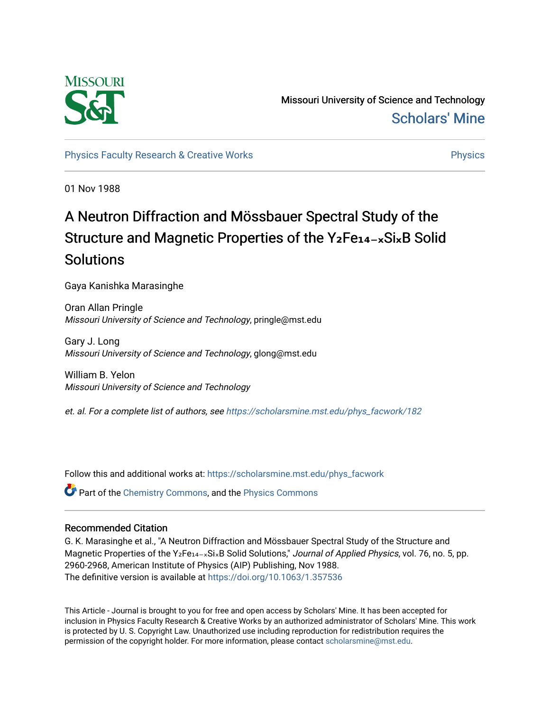

Missouri University of Science and Technology [Scholars' Mine](https://scholarsmine.mst.edu/) 

[Physics Faculty Research & Creative Works](https://scholarsmine.mst.edu/phys_facwork) **Physics** [Physics](https://scholarsmine.mst.edu/phys) **Physics** 

01 Nov 1988

# A Neutron Diffraction and Mössbauer Spectral Study of the Structure and Magnetic Properties of the Y<sub>2</sub>Fe<sub>14-x</sub>Si<sub>x</sub>B Solid **Solutions**

Gaya Kanishka Marasinghe

Oran Allan Pringle Missouri University of Science and Technology, pringle@mst.edu

Gary J. Long Missouri University of Science and Technology, glong@mst.edu

William B. Yelon Missouri University of Science and Technology

et. al. For a complete list of authors, see [https://scholarsmine.mst.edu/phys\\_facwork/182](https://scholarsmine.mst.edu/phys_facwork/182)

Follow this and additional works at: [https://scholarsmine.mst.edu/phys\\_facwork](https://scholarsmine.mst.edu/phys_facwork?utm_source=scholarsmine.mst.edu%2Fphys_facwork%2F182&utm_medium=PDF&utm_campaign=PDFCoverPages) 

Part of the [Chemistry Commons,](http://network.bepress.com/hgg/discipline/131?utm_source=scholarsmine.mst.edu%2Fphys_facwork%2F182&utm_medium=PDF&utm_campaign=PDFCoverPages) and the [Physics Commons](http://network.bepress.com/hgg/discipline/193?utm_source=scholarsmine.mst.edu%2Fphys_facwork%2F182&utm_medium=PDF&utm_campaign=PDFCoverPages)

## Recommended Citation

G. K. Marasinghe et al., "A Neutron Diffraction and Mössbauer Spectral Study of the Structure and Magnetic Properties of the Y<sub>2</sub>Fe<sub>14-x</sub>Si<sub>x</sub>B Solid Solutions," Journal of Applied Physics, vol. 76, no. 5, pp. 2960-2968, American Institute of Physics (AIP) Publishing, Nov 1988. The definitive version is available at <https://doi.org/10.1063/1.357536>

This Article - Journal is brought to you for free and open access by Scholars' Mine. It has been accepted for inclusion in Physics Faculty Research & Creative Works by an authorized administrator of Scholars' Mine. This work is protected by U. S. Copyright Law. Unauthorized use including reproduction for redistribution requires the permission of the copyright holder. For more information, please contact [scholarsmine@mst.edu](mailto:scholarsmine@mst.edu).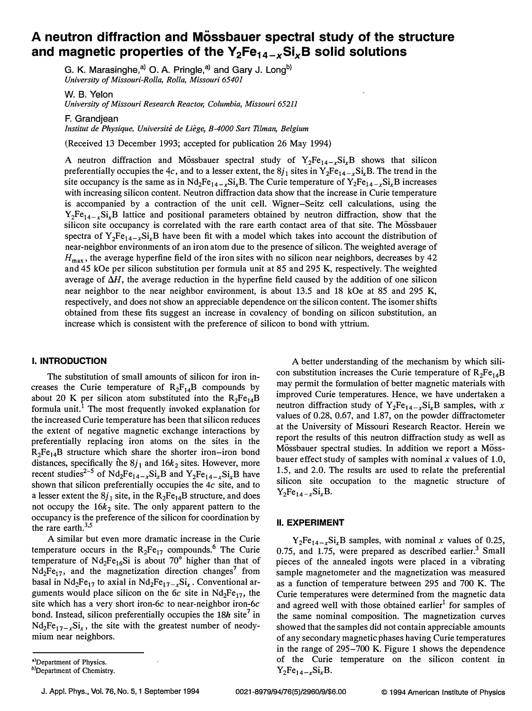# **A neutron diffraction and Mossbauer spectral study of the structure and magnetic properties of the Y2Fe<sup>14</sup> \_xSixB solid solutions**

G. K. Marasinghe,<sup>a)</sup> O. A. Pringle,<sup>a)</sup> and Gary J. Long<sup>b)</sup> *University of Missouri-Rolla, Rolla, Missouri 65401* 

W. B. Yelon *University of Missouri Research Reactor, Columbia, Missouri 65211* 

F. Grandjean */nstitut de Physique, Universite de Liege, B-4000 Sart Tilman, Belgium*

(Received 13 December 1993; accepted for publication 26 May 1994)

A neutron diffraction and Mössbauer spectral study of  $Y_2Fe_{14-x}Si_xB$  shows that silicon preferentially occupies the 4c, and to a lesser extent, the  $8j_1$  sites in Y<sub>2</sub>Fe<sub>14-x</sub>Si<sub>x</sub>B. The trend in the site occupancy is the same as in  $Nd_2Fe_{14-x}Si_xB$ . The Curie temperature of  $Y_2Fe_{14-x}Si_xB$  increases with increasing silicon content. Neutron diffraction data show that the increase in Curie temperature is accompanied by a contraction of the unit cell. Wigner-Seitz cell calculations, using the  $Y_2Fe_{14-x}Si_xB$  lattice and positional parameters obtained by neutron diffraction, show that the silicon site occupancy is correlated with the rare earth contact area of that site. The Mössbauer spectra of  $Y_2Fe_{14-x}Si$ , B have been fit with a model which takes into account the distribution of near-neighbor environments of an iron atom due to the presence of silicon. The weighted average of  $H_{\text{max}}$ , the average hyperfine field of the iron sites with no silicon near neighbors, decreases by 42 and 45 kOe per silicon substitution per formula unit at 85 and 295 K, respectively. The weighted average of  $\Delta H$ , the average reduction in the hyperfine field caused by the addition of one silicon near neighbor to the near neighbor environment, is about 13.5 and 18 kOe at 85 and 295 K, respectively, and does not show an appreciable dependence on the silicon content. The isomer shifts obtained from these fits suggest an increase in covalency of bonding on silicon substitution, an increase which is consistent with the preference of silicon to bond with yttrium.

#### **I. INTRODUCTION**

The substitution of small amounts of silicon for iron increases the Curie temperature of  $R_2F_{14}B$  compounds by about 20 K per silicon atom substituted into the  $R_2Fe_{14}B$ formula unit.<sup>1</sup> The most frequently invoked explanation for the increased Curie temperature has been that silicon reduces the extent of negative magnetic exchange interactions by preferentially replacing iron atoms on the sites in the  $R_2Fe_{14}B$  structure which share the shorter iron-iron bond distances, specifically the  $8j_1$  and  $16k_2$  sites. However, more recent studies<sup>2-5</sup> of  $Nd_2Fe_{14-x}Si_xB$  and  $Y_2Fe_{14-x}Si_xB$  have shown that silicon preferentially occupies the *4c* site, and to a lesser extent the  $8j_1$  site, in the  $R_2Fe_{14}B$  structure, and does not occupy the  $16k<sub>2</sub>$  site. The only apparent pattern to the occupancy is the preference of the silicon for coordination by the rare earth.<sup>3,5</sup> •

A similar but even more dramatic increase in the Curie temperature occurs in the  $R_2Fe_{17}$  compounds.<sup>6</sup> The Curie temperature of  $Nd<sub>2</sub>Fe<sub>16</sub>Si$  is about 70° higher than that of  $Nd<sub>2</sub>Fe<sub>17</sub>$ , and the magnetization direction changes<sup>7</sup> from basal in  $Nd_2Fe_{17}$  to axial in  $Nd_2Fe_{17-x}Si_x$ . Conventional arguments would place silicon on the  $6c$  site in  $Nd<sub>2</sub>Fe<sub>17</sub>$ , the site which has a very short iron-6c to near-neighbor iron-6c' bond. Instead, silicon preferentially occupies the *18h* site**<sup>7</sup>**in  $Nd_2Fe_{17-x}Si_x$ , the site with the greatest number of neodymium near neighbors.

a)Department of Physics.

A better understanding of the mechanism by which silicon substitution increases the Curie temperature of  $R_2Fe_{14}B$ may permit the formulation of better magnetic materials with improved Curie temperatures. Hence, we have undertaken a neutron diffraction study of  $Y_2Fe_{14-x}Si_xB$  samples, with *x* values of 0.28, 0.67, and 1.87, on the powder diffractometer at the University of Missouri Research Reactor. Herein we report the results of this neutron diffraction study as well as Mössbauer spectral studies. In addition we report a Mössbauer effect study of samples with nominal *x* values of 1.0, 1.5, and 2.0. The results are used to relate the preferential silicon site occupation to the magnetic structure of  $Y_2Fe_{14-x}Si_xB$ .

#### **II. EXPERIMENT**

 $Y_2Fe_{14-x}Si_xB$  samples, with nominal *x* values of 0.25, 0.75, and 1.75, were prepared as described earlier.<sup>3</sup> Small pieces of the annealed ingots were placed in a vibrating sample magnetometer and the magnetization was measured as a function of temperature between 295 and 700 K. The Curie temperatures were determined from the magnetic data and agreed well with those obtained earlier<sup>1</sup> for samples of the same nominal composition. The magnetization curves showed that the samples did not contain appreciable amounts of any secondary magnetic phases having Curie temperatures in the range of 295-700 K. Figure 1 shows the dependence of the Curie temperature on the silicon content **in**  $Y_2Fe_{14-x}Si_xB$ .

b)Department of Chemistry.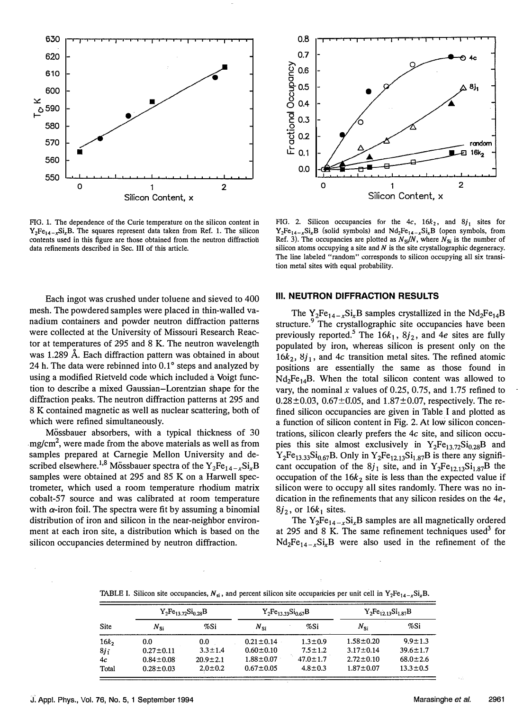

FIG. **1. The dependence of the Curie temperature on the silicon content in**   $Y_2Fe_{14-x}Si_xB$ . The squares represent data taken from Ref. 1. The silicon **contents used in this figure are those obtained from the neutron diffraction data refinements described in Sec. III of this article.** 

Each ingot was crushed under toluene and sieved to 400 mesh. The powdered samples were placed in thin-walled vanadium containers and powder neutron diffraction patterns were collected at the University of Missouri Research Reactor at temperatures of 295 and 8 K. The neutron wavelength was 1.289 A. Each diffraction pattern was obtained in about 24 h. The data were rebinned into  $0.1^{\circ}$  steps and analyzed by using a modified Rietveld code which included a Voigt function to describe a mixed Gaussian-Lorentzian shape for the diffraction peaks. The neutron diffraction patterns at 295 and 8 K contained magnetic as well as nuclear scattering, both of which were refined simultaneously.

Mössbauer absorbers, with a typical thickness of 30 .mg/cm**<sup>2</sup> ,** were made from the above materials as well as from samples prepared at Carnegie Mellon University and described elsewhere.<sup>1,8</sup> Mössbauer spectra of the  $Y_2Fe_{14-x}Si_xB$ samples were obtained at 295 and 85 K on a Harwell spectrometer, which used a room temperature rhodium matrix cobalt-57 source and was calibrated at room temperature with  $\alpha$ -iron foil. The spectra were fit by assuming a binomial distribution of iron and silicon in the near-neighbor environment at each iron site, a distribution which is based on the silicon occupancies determined by neutron diffraction.



**HG.** 2. Silicon occupancies for the  $4c$ ,  $16k_2$ , and  $8j_1$  sites for **Y2Fe14-xSixB (solid symbols) and Nd2Fe14-xSixB (open symbols, from**  Ref. 3). The occupancies are plotted as  $N_{\text{Si}}/N$ , where  $N_{\text{Si}}$  is the number of **silicon atoms occupying a site and** *N* **is the site crystallographic degeneracy. The line labeled "random" corresponds to silicon occupying all six transition metal sites with equal probability.** 

#### **Ill. NEUTRON DIFFRACTION RESULTS**

The  $Y_2Fe_{14-x}Si_xB$  samples crystallized in the  $Nd_2Fe_{14}B$ structure.<sup>9</sup> The crystallographic site occupancies have been previously reported.<sup>5</sup> The  $16k_1$ ,  $8j_2$ , and  $4e$  sites are fully populated by iron, whereas silicon is present only on the  $16k_2$ ,  $8j_1$ , and  $4c$  transition metal sites. The refined atomic positions are essentially the same as those found in  $Nd<sub>2</sub>Fe<sub>14</sub>B$ . When the total silicon content was allowed to vary, the nominal *x* values of 0.25, 0.75, and 1.75 refined to  $0.28 \pm 0.03$ ,  $0.67 \pm 0.05$ , and  $1.87 \pm 0.07$ , respectively. The refined silicon occupancies are given in Table I and plotted as a function of silicon content in Fig. 2. At low silicon concentrations, silicon clearly prefers the 4c site, and silicon occupies this site almost exclusively in  $Y_2Fe_{13.72}Si_{0.28}B$  and  $Y_2Fe_{13,33}Si_{0,67}B$ . Only in  $Y_2Fe_{12,13}Si_{1,87}B$  is there any significant occupation of the  $8j_1$  site, and in  $Y_2Fe_{12,13}Si_{1,87}B$  the occupation of the  $16k<sub>2</sub>$  site is less than the expected value if silicon were to occupy all sites randomly. There was no indication in the refinements that any silicon resides on the *4e,*  $8j_2$ , or  $16k_1$  sites.

The  $Y_2Fe_{14-x}Si_xB$  samples are all magnetically ordered at 295 and 8 K. The same refinement techniques used<sup>3</sup> for  $Nd_2Fe_{14-x}Si_xB$  were also used in the refinement of the

TABLE I. Silicon site occupancies,  $N_{si}$ , and percent silicon site occupancies per unit cell in  $Y_2Fe_{14-x}Si_{x}B$ .

|                  | $Y_2Fe_{13.72}Si_{0.28}B$ |                | $Y_2Fe_{13,32}Si_{0.67}B$ |                | $Y_2Fe_{12,12}Si_{1,87}B$ |                |  |
|------------------|---------------------------|----------------|---------------------------|----------------|---------------------------|----------------|--|
| Site             | $N_{\rm Si}$              | %Si            | $N_{\rm st}$              | %Si            | $N_{\rm Si}$              | %Si            |  |
| 16k <sub>2</sub> | 0.0                       | 0.0            | $0.21 \pm 0.14$           | $1.3 \pm 0.9$  | $1.58 \pm 0.20$           | $9.9 \pm 1.3$  |  |
| 8j <sub>i</sub>  | $0.27 \pm 0.11$           | $3.3 \pm 1.4$  | $0.60 \pm 0.10$           | $7.5 \pm 1.2$  | $3.17 \pm 0.14$           | $39.6 \pm 1.7$ |  |
| 4c               | $0.84 \pm 0.08$           | $20.9 \pm 2.1$ | $1.88 \pm 0.07$           | $47.0 \pm 1.7$ | $2.72 \pm 0.10$           | $68.0 \pm 2.6$ |  |
| Total            | $0.28 \pm 0.03$           | $2.0 \pm 0.2$  | $0.67 \pm 0.05$           | $4.8 \pm 0.3$  | $1.87 \pm 0.07$           | $13.3 \pm 0.5$ |  |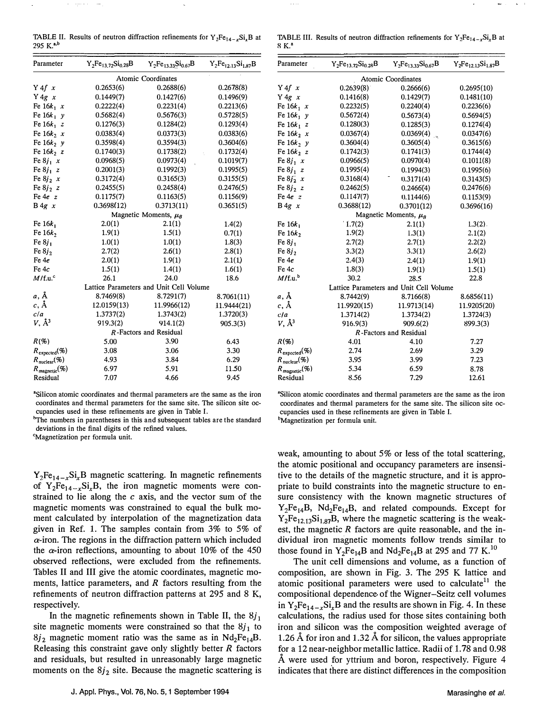TABLE II. Results of neutron diffraction refinements for  $Y_2Fe_{14}$ ,  $S_i$ , B at 295 K.•.<sup>b</sup>

|                  |  |  | TABLE III. Results of neutron diffraction refinements for $Y_2Fe_{14-x}Si_rB$ at |
|------------------|--|--|----------------------------------------------------------------------------------|
| 8 K <sup>a</sup> |  |  |                                                                                  |

| Parameter                 | $Y_2Fe_{13,72}Si_{0,28}B$ | $Y_2Fe_{13,33}Si_{0.67}B$               | $Y_2Fe_{12,13}Si_{1.87}B$ |
|---------------------------|---------------------------|-----------------------------------------|---------------------------|
|                           |                           | <b>Atomic Coordinates</b>               |                           |
| Y4f x                     | 0.2653(6)                 | 0.2688(6)                               | 0.2678(8)                 |
| Y 4g $x$                  | 0.1449(7)                 | 0.1427(6)                               | 0.1496(9)                 |
| Fe $16k_1 x$              | 0.2222(4)                 | 0.2231(4)                               | 0.2213(6)                 |
| Fe $16k_1$ y              | 0.5682(4)                 | 0.5676(3)                               | 0.5728(5)                 |
| Fe $16k_1$ z              | 0.1276(3)                 | 0.1284(2)                               | 0.1293(4)                 |
| Fe $16k_2 x$              | 0.0383(4)                 | 0.0373(3)                               | 0.0383(6)                 |
| Fe $16k_2$ y              | 0.3598(4)                 | 0.3594(3)                               | 0.3604(6)                 |
| Fe $16k_2$ z              | 0.1740(3)                 | 0.1738(2)                               | 0.1732(4)                 |
| Fe $8j_1 x$               | 0.0968(5)                 | 0.0973(4)                               | 0.1019(7)                 |
| Fe $8j_1$ z               | 0.2001(3)                 | 0.1992(3)                               | 0.1995(5)                 |
| Fe $8j_2$ x               | 0.3172(4)                 | 0.3165(3)                               | 0.3155(5)                 |
| Fe $8j_2$ z               | 0.2455(5)                 | 0.2458(4)                               | 0.2476(5)                 |
| Fe $4e^z$                 | 0.1175(7)                 | 0.1163(5)                               | 0.1156(9)                 |
| B4g x                     | 0.3698(12)                | 0.3713(11)                              | 0.3651(5)                 |
|                           |                           | Magnetic Moments, $\mu_B$               |                           |
| Fe $16k_1$                | 2.0(1)                    | 2.1(1)                                  | 1.4(2)                    |
| Fe 16k <sub>2</sub>       | 1.9(1)                    | 1.5(1)                                  | 0.7(1)                    |
| Fe $8j1$                  | 1.0(1)                    | 1.0(1)                                  | 1.8(3)                    |
| Fe $8j_2$                 | 2.7(2)                    | 2.6(1)                                  | 2.8(1)                    |
| Fe 4e                     | 2.0(1)                    | 1.9(1)                                  | 2.1(1)                    |
| Fe 4c                     | 1.5(1)                    | 1.4(1)                                  | 1.6(1)                    |
| $M/f.u.^c$                | 26.1                      | 24.0                                    | 18.6                      |
|                           |                           | Lattice Parameters and Unit Cell Volume |                           |
| a. Å                      | 8.7469(8)                 | 8.7291(7)                               | 8.7061(11)                |
| c, Å                      | 12.0159(13)               | 11.9966(12)                             | 11.9444(21)               |
| c/a                       | 1.3737(2)                 | 1.3743(2)                               | 1.3720(3)                 |
| $V, \AA^3$                | 919.3(2)                  | 914.1(2)                                | 905.3(3)                  |
|                           |                           | R-Factors and Residual                  |                           |
| $R(\%)$                   | 5.00                      | 3.90                                    | 6.43                      |
| $R_{\text{expected}}(\%)$ | 3.08                      | 3.06                                    | 3.30                      |
| $R_{\text{nuclear}}(\%)$  | 4.93                      | 3.84                                    | 6.29                      |
| $R_{\text{magnetic}}(\%)$ | 6.97                      | 5.91                                    | 11.50                     |
| Residual                  | 7.07                      | 4.66                                    | 9.45                      |

'Silicon atomic coordinates and thermal parameters are the same as the iron coordinates and thermal parameters for the same site. The silicon site occupancies used in these refinements are given in Table I.

<sup>b</sup>The numbers in parentheses in this and subsequent tables are the standard deviations in the final digits of the refined values.

<Magnetization per formula unit.

 $Y_2Fe_{14-x}Si_xB$  magnetic scattering. In magnetic refinements of  $Y_2Fe_{14-x}Si_xB$ , the iron magnetic moments were constrained to lie along the *c* axis, and the vector sum of the magnetic moments was constrained to equal the bulk moment calculated by interpolation of the magnetization data given in Ref. 1. The samples contain from 3% to 5% of  $\alpha$ -iron. The regions in the diffraction pattern which included the  $\alpha$ -iron reflections, amounting to about 10% of the 450 observed reflections, were excluded from the refinements. Tables II and III give the atomic coordinates, magnetic moments, lattice parameters, and  $R$  factors resulting from the refinements of neutron diffraction patterns at 295 and 8 K, respectively.

In the magnetic refinements shown in Table II, the  $8j_1$ site magnetic moments were constrained so that the  $8j_1$  to  $8j_2$  magnetic moment ratio was the same as in Nd<sub>2</sub>Fe<sub>14</sub>B. Releasing this constraint gave only slightly better *R* factors and residuals, but resulted in unreasonably large magnetic moments on the  $8j_2$  site. Because the magnetic scattering is

| Parameter                 | $Y_2Fe_{13.72}Si_{0.28}B$               | $Y_2Fe_{13,33}Si_{0.67}B$ | $Y_2Fe_{12,13}Si_{1.87}B$ |  |  |  |  |
|---------------------------|-----------------------------------------|---------------------------|---------------------------|--|--|--|--|
|                           |                                         | <b>Atomic Coordinates</b> |                           |  |  |  |  |
| Y 4 $f$ x                 | 0.2639(8)                               | 0.2666(6)                 | 0.2695(10)                |  |  |  |  |
| Y 4g x                    | 0.1416(8)                               | 0.1429(7)                 | 0.1481(10)                |  |  |  |  |
| Fe $16k_1 x$              | 0.2232(5)                               | 0.2240(4)                 | 0.2236(6)                 |  |  |  |  |
| Fe $16k_1$ y              | 0.5672(4)                               | 0.5673(4)                 | 0.5694(5)                 |  |  |  |  |
| Fe $16k_1$ z              | 0.1280(3)                               | 0.1285(3)                 | 0.1274(4)                 |  |  |  |  |
| Fe $16k$ , x              | 0.0367(4)                               | 0.0369(4)                 | 0.0347(6)                 |  |  |  |  |
| Fe $16k_2$ y              | 0.3604(4)                               | 0.3605(4)                 | 0.3615(6)                 |  |  |  |  |
| Fe $16k_2$ z              | 0.1742(3)                               | 0.1741(3)                 | 0.1744(4)                 |  |  |  |  |
| Fe $8j_1 x$               | 0.0966(5)                               | 0.0970(4)                 | 0.1011(8)                 |  |  |  |  |
| Fe $8i_1$ z               | 0.1995(4)                               | 0.1994(3)                 | 0.1995(6)                 |  |  |  |  |
| Fe $8i_2$ x               | 0.3168(4)                               | 0.3171(4)                 | 0.3143(5)                 |  |  |  |  |
| Fe $8j_2$ z               | 0.2462(5)                               | 0.2466(4)                 | 0.2476(6)                 |  |  |  |  |
| Fe $4e$ z                 | 0.1147(7)                               | 0.1144(6)                 | 0.1153(9)                 |  |  |  |  |
| B4g x                     | 0.3688(12)                              | 0.3701(12)                | 0.3696(16)                |  |  |  |  |
|                           |                                         | Magnetic Moments, $\mu_B$ |                           |  |  |  |  |
| Fe $16k_1$                | 1.7(2)                                  | 2.1(1)                    | $1.3(2)$ .                |  |  |  |  |
| Fe $16k2$                 | 1.9(2)                                  | 1.3(1)                    | 2.1(2)                    |  |  |  |  |
| Fe $8i1$                  | 2.7(2)                                  | 2.7(1)                    | 2.2(2)                    |  |  |  |  |
| Fe $8j_2$                 | 3.3(2)                                  | 3.3(1)                    | 2.6(2)                    |  |  |  |  |
| Fe 4e                     | 2.4(3)                                  | 2.4(1)                    | 1.9(1)                    |  |  |  |  |
| Fe 4c                     | 1.8(3)                                  | 1.9(1)                    | 1.5(1)                    |  |  |  |  |
| $M/f.u.^b$                | 30.2                                    | 28.5                      | 22.8                      |  |  |  |  |
|                           | Lattice Parameters and Unit Cell Volume |                           |                           |  |  |  |  |
| a, Å                      | 8.7442(9)                               | 8.7166(8)                 | 8.6856(11)                |  |  |  |  |
| c, Å                      | 11.9920(15)                             | 11.9713(14)               | 11.9205(20)               |  |  |  |  |
| cla                       | 1.3714(2)                               | 1.3734(2)                 | 1.3724(3)                 |  |  |  |  |
| $V, \AA^3$                | 916.9(3)                                | 909.6(2)                  | 899.3(3)                  |  |  |  |  |
|                           |                                         | R-Factors and Residual    |                           |  |  |  |  |
| $R(\%)$                   | 4.01                                    | 4.10                      | 7.27                      |  |  |  |  |
| $R_{\text{expected}}(\%)$ | 2.74                                    | 2.69                      | 3.29                      |  |  |  |  |
| $R_{\text{nuclear}}(\%)$  | 3.95                                    | 3.99                      | 7.23                      |  |  |  |  |
| $R_{\text{magnetic}}(\%)$ | 5.34                                    | 6.59                      | 8.78                      |  |  |  |  |
| Residual                  | 8.56                                    | 7.29                      | 12.61                     |  |  |  |  |

"Silicon atomic coordinates and thermal parameters are the same as the iron coordinates and thermal parameters for the same site. The silicon site occupancies used in these refinements are given in Table I. <sup>b</sup>Magnetization per formula unit.

weak, amounting to about 5% or less of the total scattering, the atomic positional and occupancy parameters are insensitive to the details of the magnetic structure, and it is appropriate to build constraints into the magnetic structure to ensure consistency with the known magnetic structures of  $Y_2Fe_{14}B$ ,  $Nd_2Fe_{14}B$ , and related compounds. Except for  $Y_2Fe_{12.13}Si_{1.87}B$ , where the magnetic scattering is the weakest, the magnetic  $R$  factors are quite reasonable, and the individual iron magnetic moments follow trends similar to those found in  $Y_2Fe_{14}B$  and  $Nd_2Fe_{14}B$  at 295 and 77 K.<sup>10</sup>

The unit cell dimensions and volume, as a function of composition, are shown in Fig. 3. The 295 K lattice and atomic positional parameters were used to calculate<sup>11</sup> the compositional dependence of the Wigner-Seitz cell volumes in  $Y_2Fe_{14-x}Si_xB$  and the results are shown in Fig. 4. In these calculations, the radius used for those sites containing both iron and silicon was the composition weighted average of l.26 A for iron and 1.32 A for silicon, the values appropriate for a 12 near-neighbor metallic lattice. Radii of  $1.78$  and  $0.98$ A were used for yttrium and boron, respectively. Figure 4 indicates that there are distinct differences in the composition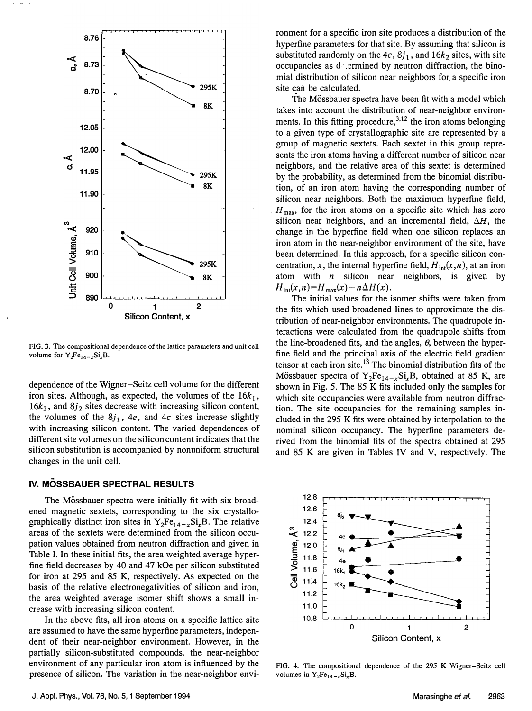

FIG. 3. The compositional dependence of the lattice parameters and unit cell volume for  $Y_2Fe_{14-x}Si_xB$ .

dependence of the Wigner-Seitz cell volume for the different iron sites. Although, as expected, the volumes of the  $16k_1$ ,  $16k_2$ , and  $8j_2$  sites decrease with increasing silicon content, the volumes of the  $8j_1$ ,  $4e$ , and  $4c$  sites increase slightly with increasing silicon content. The varied dependences of different site volumes on the silicon content indicates that the silicon substitution is accompanied by nonuniform structural changes in the unit cell.

### IV. **MOSSBAUER SPECTRAL RESULTS**

The Mössbauer spectra were initially fit with six broadened magnetic sextets, corresponding to the six crystallographically distinct iron sites in  $Y_2Fe_{14-x}Si_xB$ . The relative areas of the sextets were determined from the silicon occupation values obtained from neutron diffraction and given in Table I. In these initial fits, the area weighted average hyperfine field decreases by 40 and 47 kOe per silicon substituted for iron at 295 and 85 K, respectively. As expected on the basis of the relative electronegativities of silicon and iron, the area weighted average isomer shift shows a small increase with increasing silicon content.

In the above fits, all iron atoms on a specific lattice site are assumed to have the same hyperfine parameters, independent of their near-neighbor environment. However, in the partially silicon-substituted compounds, the near-neighbor environment of any particular iron atom is influenced by the presence of silicon. The variation in the near-neighbor environment for a specific iron site produces a distribution of the hyperfine parameters for that site. By assuming that silicon is substituted randomly on the  $4c$ ,  $8j_1$ , and  $16k_2$  sites, with site occupancies as determined by neutron diffraction, the binomial distribution of silicon near neighbors for, a specific iron site can be calculated.

The Mössbauer spectra have been fit with a model which takes into account the distribution of neat-neighbor environments. In this fitting procedure,<sup>3,12</sup> the iron atoms belonging to a given type of crystallographic site are represented by a group of magnetic sextets. Each sextet in this group represents the iron atoms having a different number of silicon near neighbors, and the relative area of this sextet is determined by the probability, as determined from the binomial distribution, of an iron atom having the corresponding number of silicon near neighbors. Both the maximum hyperfine field,  $H_{\text{max}}$ , for the iron atoms on a specific site which has zero silicon near neighbors, and an incremental field,  $\Delta H$ , the change in the hyperfine field when one silicon replaces an iron atom in the near-neighbor environment of the site, have been determined. In this approach, for a specific silicon concentration, x, the internal hyperfine field,  $H_{int}(x,n)$ , at an iron atom with *n* silicon near neighbors, is given by  $H_{\text{int}}(x,n)=H_{\text{max}}(x)-n\Delta H(x).$ 

The initial values for the isomer shifts were taken from the fits which used broadened lines to approximate the distribution of near-neighbor environments. The quadrupole interactions were calculated from the quadrupole shifts from the line-broadened fits, and the angles,  $\theta$ , between the hyperfine field and the principal axis of the electric field gradient tensor at each iron site.<sup>13</sup> The binomial distribution fits of the Mössbauer spectra of Y<sub>2</sub>Fe<sub>14-x</sub>Si<sub>x</sub>B, obtained at 85 K, are shown in Fig. 5. The 85 K fits included only the samples for which site occupancies were available from neutron diffraction. The site occupancies for the remaining samples included in the 295 K fits were obtained by interpolation to the nominal silicon occupancy. The hyperfine parameters derived from the binomial fits of the spectra obtained at 295 and 85 K are given in Tables IV and V, respectively. The



FIG. 4. The compositional dependence of the 295 K Wigner-Seitz cell volumes in  $Y_2Fe_{14-x}Si_xB$ .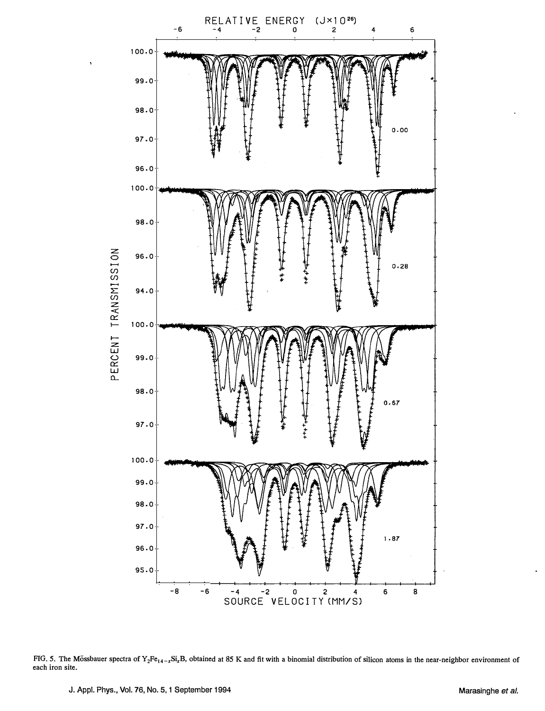

FIG. 5. The Mössbauer spectra of  $Y_2Fe_{14-x}Si_xB$ , obtained at 85 K and fit with a binomial distribution of silicon atoms in the near-neighbor environment of each iron site.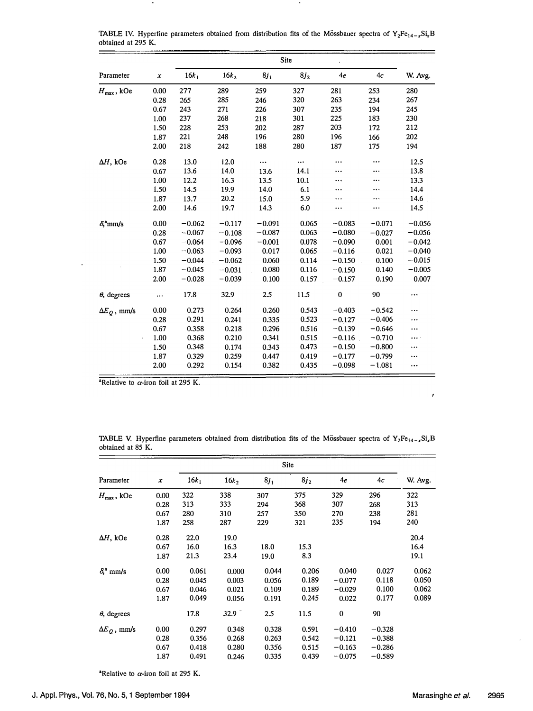|                            |      |          |                  |          | Site            |          |          |          |
|----------------------------|------|----------|------------------|----------|-----------------|----------|----------|----------|
| Parameter                  | x    | $16k_1$  | 16k <sub>2</sub> | $8j_1$   | 8j <sub>2</sub> | 4e       | 4c       | W. Avg.  |
| $H_{\text{max}}$ , kOe     | 0.00 | 277      | 289              | 259      | 327             | 281      | 253      | 280      |
|                            | 0.28 | 265      | 285              | 246      | 320             | 263      | 234      | 267      |
|                            | 0.67 | 243      | 271              | 226      | 307             | 235      | 194      | 245      |
|                            | 1.00 | 237      | 268              | 218      | 301             | 225      | 183      | 230      |
|                            | 1.50 | 228      | 253              | 202      | 287             | 203      | 172      | 212      |
|                            | 1.87 | 221      | 248              | 196      | 280             | 196      | 166      | 202      |
|                            | 2.00 | 218      | 242              | 188      | 280             | 187      | 175      | 194      |
| $\Delta H$ , kOe           | 0.28 | 13.0     | 12.0             |          |                 |          |          | 12.5     |
|                            | 0.67 | 13.6     | 14.0             | 13.6     | 14.1            |          |          | 13.8     |
|                            | 1.00 | 12.2     | 16.3             | 13.5     | 10.1            |          |          | 13.3     |
|                            | 1.50 | 14.5     | 19.9             | 14.0     | 6.1             |          |          | 14.4     |
|                            | 1.87 | 13.7     | 20.2             | 15.0     | 5.9             |          |          | 14.6     |
|                            | 2.00 | 14.6     | 19.7             | 14.3     | 6.0             |          |          | 14.5     |
| $\delta$ <sup>a</sup> mm/s | 0.00 | $-0.062$ | $-0.117$         | $-0.091$ | 0.065           | $-0.083$ | $-0.071$ | $-0.056$ |
|                            | 0.28 | $-0.067$ | $-0.108$         | $-0.087$ | 0.063           | $-0.080$ | $-0.027$ | $-0.056$ |
|                            | 0.67 | $-0.064$ | $-0.096$         | $-0.001$ | 0.078           | $-0.090$ | 0.001    | $-0.042$ |
|                            | 1.00 | $-0.063$ | $-0.093$         | 0.017    | 0.065           | $-0.116$ | 0.021    | $-0.040$ |
|                            | 1.50 | $-0.044$ | $-0.062$         | 0.060    | 0.114           | $-0.150$ | 0.100    | $-0.015$ |
|                            | 1.87 | $-0.045$ | $-0.031$         | 0.080    | 0.116           | $-0.150$ | 0.140    | $-0.005$ |
|                            | 2.00 | $-0.028$ | $-0.039$         | 0.100    | 0.157           | $-0.157$ | 0.190    | 0.007    |
| $\theta$ , degrees         |      | 17.8     | 32.9             | 2.5      | 11.5            | $\bf{0}$ | 90       |          |
| $\Delta E_O$ , mm/s        | 0.00 | 0.273    | 0.264            | 0.260    | 0.543           | $-0.403$ | $-0.542$ |          |
|                            | 0.28 | 0.291    | 0.241            | 0.335    | 0.523           | $-0.127$ | $-0.406$ |          |
|                            | 0.67 | 0.358    | 0.218            | 0.296    | 0.516           | $-0.139$ | $-0.646$ |          |
|                            | 1.00 | 0.368    | 0.210            | 0.341    | 0.515           | $-0.116$ | $-0.710$ |          |
|                            | 1.50 | 0.348    | 0.174            | 0.343    | 0.473           | $-0.150$ | $-0.800$ |          |
|                            | 1.87 | 0.329    | 0.259            | 0.447    | 0.419           | $-0.177$ | $-0.799$ |          |
|                            | 2.00 | 0.292    | 0.154            | 0.382    | 0.435           | $-0.098$ | $-1.081$ |          |

TABLE IV. Hyperfine parameters obtained from distribution fits of the Mössbauer spectra of  $Y_2Fe_{14-x}Si_xB$ obtained at 295 K.

 $\overline{R}$  Relative to  $\alpha$ -iron foil at 295 K.

 $\bar{\phantom{a}}$ 

TABLE V. Hyperfine parameters obtained from distribution fits of the Mössbauer spectra of  $Y_2Fe_{14-x}Si_xB$ obtained at 85 K.

|                            |      |         |                  |        | Site   |          |          |         |
|----------------------------|------|---------|------------------|--------|--------|----------|----------|---------|
| Parameter                  | x    | $16k_1$ | 16k <sub>2</sub> | $8j_1$ | $8j_2$ | 4e       | 4c       | W. Avg. |
| $H_{\text{max}}$ , kOe     | 0.00 | 322     | 338              | 307    | 375    | 329      | 296      | 322     |
|                            | 0.28 | 313     | 333              | 294    | 368    | 307      | 268      | 313     |
|                            | 0.67 | 280     | 310              | 257    | 350    | 270      | 238      | 281     |
|                            | 1.87 | 258     | 287              | 229    | 321    | 235      | 194      | 240     |
| $\Delta H$ , kOe           | 0.28 | 22.0    | 19.0             |        |        |          |          | 20.4    |
|                            | 0.67 | 16.0    | 16.3             | 18.0   | 15.3   |          |          | 16.4    |
|                            | 1.87 | 21.3    | 23.4             | 19.0   | 8.3    |          |          | 19.1    |
| $\delta$ <sup>a</sup> mm/s | 0.00 | 0.061   | 0.000            | 0.044  | 0.206  | 0.040    | 0.027    | 0.062   |
|                            | 0.28 | 0.045   | 0.003            | 0.056  | 0.189  | $-0.077$ | 0.118    | 0.050   |
|                            | 0.67 | 0.046   | 0.021            | 0.109  | 0.189  | $-0.029$ | 0.100    | 0.062   |
|                            | 1.87 | 0.049   | 0.056            | 0.191  | 0.245  | 0.022    | 0.177    | 0.089   |
| $\theta$ , degrees         |      | 17.8    | $32.9 -$         | 2.5    | 11.5   | 0        | 90       |         |
| $\Delta E_Q$ , mm/s        | 0.00 | 0.297   | 0.348            | 0.328  | 0.591  | $-0.410$ | $-0.328$ |         |
|                            | 0.28 | 0.356   | 0.268            | 0.263  | 0.542  | $-0.121$ | $-0.388$ |         |
|                            | 0.67 | 0.418   | 0.280            | 0.356  | 0.515  | $-0.163$ | $-0.286$ |         |
|                            | 1.87 | 0.491   | 0.246            | 0.335  | 0.439  | $-0.075$ | $-0.589$ |         |

"Relative to a-iron **foil** at 295 K.

 $\hat{\rho}$ 

 $\boldsymbol{f}$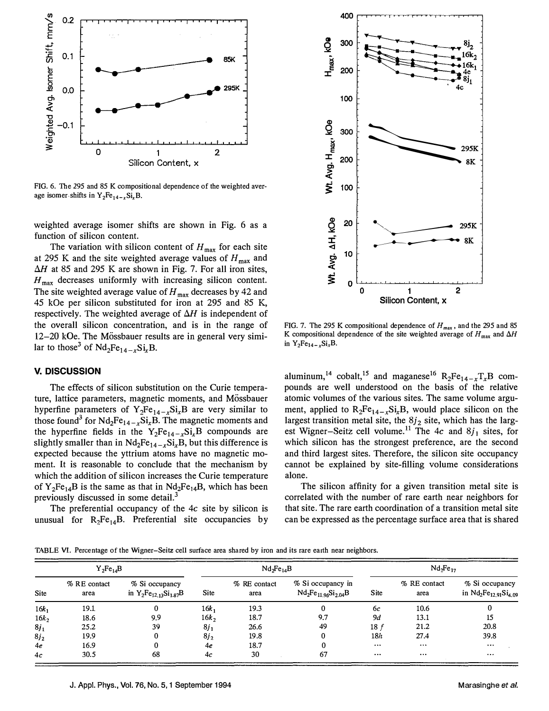

FIG. 6. The 295 and 85 K compositional dependence of the weighted average isomer shifts in  $Y_2Fe_{14-x}Si_xB$ .

weighted average isomer shifts are shown in Fig. 6 as a function of silicon content.

The variation with silicon content of  $H_{\text{max}}$  for each site at 295 K and the site weighted average values of *H* max and  $\Delta H$  at 85 and 295 K are shown in Fig. 7. For all iron sites,  $H_{\text{max}}$  decreases uniformly with increasing silicon content. The site weighted average value of  $H_{\text{max}}$  decreases by 42 and 45 kOe per silicon substituted for iron at 295 and 85 K, respectively. The weighted average of  $\Delta H$  is independent of the overall silicon concentration, and is in the range of 12-20 kOe. The Mössbauer results are in general very similar to those<sup>3</sup> of  $Nd_2Fe_{14-r}Si_rB$ .

#### **V. DISCUSSION**

The effects of silicon substitution on the Curie temperature, lattice parameters, magnetic moments, and Mössbauer hyperfine parameters of  $Y_2Fe_{14-x}Si_xB$  are very similar to those found<sup>3</sup> for Nd<sub>2</sub>Fe<sub>14-x</sub>Si<sub>x</sub>B. The magnetic moments and the hyperfine fields in the Y<sub>2</sub>Fe<sub>14-x</sub>Si<sub>x</sub>B compounds are slightly smaller than in  $Nd_2Fe_{14-x}Si_xB$ , but this difference is expected because the yttrium atoms have no magnetic moment. It is reasonable to conclude that the mechanism by which the addition of silicon increases the Curie temperature of Y<sub>2</sub>Fe<sub>14</sub>B is the same as that in  $Nd_2Fe_{14}B$ , which has been previously discussed in some detail.<sup>3</sup>

The preferential occupancy of the 4c site by silicon is unusual for  $R_2Fe_{14}B$ . Preferential site occupancies by



FIG. 7. The 295 K compositional dependence of  $H_{\text{max}}$ , and the 295 and 85 K compositional dependence of the site weighted average of  $H_{\text{max}}$  and  $\Delta H$ in  $Y_2Fe_{14-x}Si_xB$ .

aluminum,<sup>14</sup> cobalt,<sup>15</sup> and maganese<sup>16</sup> R<sub>2</sub>Fe<sub>14-x</sub>T<sub>x</sub>B compounds are well understood on the basis of the relative atomic volumes of the various sites. The same volume argument, applied to  $R_2Fe_{14-x}Si_xB$ , would place silicon on the largest transition metal site, the  $8j_2$  site, which has the largest Wigner-Seitz cell volume.<sup>11</sup> The 4c and  $8j_1$  sites, for which silicon has the strongest preference, are the second and third largest sites. Therefore, the silicon site occupancy cannot be explained by site-filling volume considerations alone.

The silicon affinity for a given transition metal site is correlated with the number of rare earth near neighbors for that site. The rare earth coordination of a transition metal site can be expressed as the percentage surface area that is shared

TABLE VI. Percentage of the Wigner-Seitz cell surface area shared by iron and its rare earth near neighbors.

| $Y_2Fe_{14}B$    |                      |                                                | Nd <sub>2</sub> Fe <sub>14</sub> B |                      |                                                 | $Nd_2Fe_{17}$ |                      |                                                |
|------------------|----------------------|------------------------------------------------|------------------------------------|----------------------|-------------------------------------------------|---------------|----------------------|------------------------------------------------|
| <b>Site</b>      | % RE contact<br>area | % Si occupancy<br>in $Y_2Fe_{12,13}Si_{1,87}B$ | Site                               | % RE contact<br>area | % Si occupancy in<br>$Nd_2Fe_{11,96}Si_{2.04}B$ | Site          | % RE contact<br>area | % Si occupancy<br>in $Nd_2Fe_{12.91}Si_{4.09}$ |
| $16k_1$          | 19.1                 | 0                                              | $16k_1$                            | 19.3                 | 0                                               | 6c            | 10.6                 |                                                |
| 16k <sub>2</sub> | 18.6                 | 9.9                                            | 16k <sub>2</sub>                   | 18.7                 | 9.7                                             | 9d            | 13.1                 | 15                                             |
| $8j_1$           | 25.2                 | 39                                             | 8j <sub>1</sub>                    | 26.6                 | 49                                              | 18f           | 21.2                 | 20.8                                           |
| $8j_2$           | 19.9                 | 0                                              | 8j <sub>2</sub>                    | 19.8                 | 0                                               | 18h           | 27.4                 | 39.8                                           |
| 4e               | 16.9                 |                                                | 4e                                 | 18.7                 | 0                                               | $\cdots$      | $\cdots$             | $\cdots$                                       |
| 4c               | 30.5                 | 68                                             | 4c                                 | 30                   | 67                                              |               | $\cdots$             |                                                |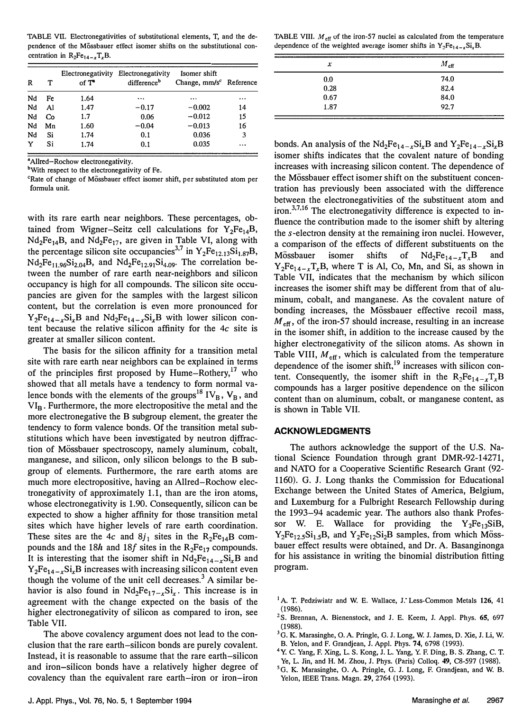TABLE VII. Electronegativities of substitutional elements, T, and the dependence of the Mössbauer effect isomer shifts on the substitutional conccntration in  $R_2Fe_{14-x}T_xB$ .

| R  | т  | $of T^{\bullet}$ | Electronegativity Electronegativity<br>difference <sup>b</sup> | Isomer shift<br>Change, mm/s <sup>c</sup> Reference |          |
|----|----|------------------|----------------------------------------------------------------|-----------------------------------------------------|----------|
| Nd | Fe | 1.64             | $\cdots$                                                       | $\cdots$                                            | $\cdots$ |
| Nd | Al | 1.47             | $-0.17$                                                        | $-0.002$                                            | 14       |
| Nd | Co | 1.7              | 0.06                                                           | $-0.012$                                            | 15       |
| Nd | Mn | 1.60             | $-0.04$                                                        | $-0.013$                                            | 16       |
| Nd | Si | 1.74             | 0.1                                                            | 0.036                                               | 3        |
|    | Si | 1.74             | 0.1                                                            | 0.035                                               |          |

'Allred-Rochow electronegativity.

<sup>b</sup>With respect to the electronegativity of Fe.

<sup>c</sup>Rate of change of Mössbauer effect isomer shift, per substituted atom per formula unit.

with its rare earth near neighbors. These percentages, obtained from Wigner-Seitz cell calculations for  $Y_2Fe_{14}B$ , Nd**2**Fe14B, and Nd**2**Fe**17,** are given in Table VI, along with the percentage silicon site occupancies<sup>3,7</sup> in  $Y_2Fe_{12,13}Si_{1,87}B$ ,  $Nd_2Fe_{11.96}Si_{2.04}B$ , and  $Nd_2Fe_{12.91}Si_{4.09}$ . The correlation between the number of rare earth near-neighbors and silicon occupancy is high for all compounds. The silicon site occupancies are given for the samples with the largest silicon content, but the correlation is even more pronounced for  $Y_2Fe_{14-x}Si_xB$  and  $Nd_2Fe_{14-x}Si_xB$  with lower silicon content because the relative silicon affinity for the *4c* site is greater at smaller silicon content.

The basis for the silicon affinity for a transition metal site with rare earth near neighbors can be explained in terms of the principles first proposed by Hume-Rothery, $17$  who showed that all metals have a tendency to form normal valence bonds with the elements of the groups<sup>18</sup> IV<sub>B</sub>, V<sub>B</sub>, and  $VI_B$ . Furthermore, the more electropositive the metal and the more electronegative the B subgroup element, the greater the tendency to form valence bonds. Of the transition metal substitutions which have been investigated by neutron diffraction of Mössbauer spectroscopy, namely aluminum, cobalt, manganese, and silicon, only silicon belongs to the B subgroup of elements. Furthermore, the rare earth atoms are much more electropositive, having an Allred-Rochow electronegativity of approximately 1.1, than are the iron atoms, whose electronegativity is 1.90. Consequently, silicon can be expected to show a higher affinity for those transition metal sites which have higher levels of rare earth coordination. These sites are the 4c and  $8j_1$  sites in the R<sub>2</sub>Fe<sub>14</sub>B compounds and the 18h and 18f sites in the R<sub>2</sub>Fe<sub>17</sub> compounds. It is interesting that the isomer shift in  $Nd_2Fe_{14-x}Si_xB$  and  $Y_2Fe_{14-x}Si_xB$  increases with increasing silicon content even though the volume of the unit cell decreases.<sup>3</sup> A similar behavior is also found in  $Nd_2Fe_{17-x}Si_x$ . This increase is in agreement with the change expected on the basis of the higher electronegativity of silicon as compared to iron, see Table VII.

The above covalency argument does not lead to the conclusion that the rare earth-silicon bonds are purely covalent. Instead, it is reasonable to assume that the rare earth-silicon and iron-silicon bonds have a relatively higher degree of covalency than the equivalent rare earth-iron or iron-iron

TABLE VIII.  $M_{\text{eff}}$  of the iron-57 nuclei as calculated from the temperature dependence of the weighted average isomer shifts in  $Y_2Fe_{14-x}Si_xB$ .

| x    | $M_{\rm eff}$ |
|------|---------------|
| 0.0  | 74.0          |
| 0.28 | 82.4          |
| 0.67 | 84.0          |
| 1.87 | 92.7          |
|      |               |

bonds. An analysis of the  $Nd_2Fe_{14-x}Si_xB$  and  $Y_2Fe_{14-x}Si_xB$ isomer shifts indicates that the covalent nature of bonding increases with increasing silicon content. The dependence of the Mössbauer effect isomer shift on the substituent concentration has previously been associated with the difference between the electronegativities of the substituent atom and iron.<sup>3,7,16</sup> The electronegativity difference is expected to influence the contribution made to the isomer shift by altering the s-electron density at the remaining iron nuclei. However, a comparison of the effects of different substituents on the Mössbauer isomer shifts of  $Nd_2Fe_{14-x}T_xB$  and  $Y_2Fe_{14-x}T<sub>x</sub>B$ , where T is Al, Co, Mn, and Si, as shown in Table VII, indicates that the mechanism by which silicon increases the isomer shift may be different from that of aluminum, cobalt, and manganese. As the covalent nature of bonding increases, the Mössbauer effective recoil mass,  $M<sub>eff</sub>$ , of the iron-57 should increase, resulting in an increase in the isomer shift, in addition to the increase caused by the higher electronegativity of the silicon atoms. As shown in Table VIII,  $M_{\text{eff}}$ , which is calculated from the temperature dependence of the isomer shift,<sup>19</sup> increases with silicon content. Consequently, the isomer shift in the  $R_2Fe_{14-x}T_xB$ compounds has a larger positive dependence on the silicon content than on aluminum, cobalt, or manganese content, as is shown in Table VII.

#### **ACKNOWLEDGMENTS**

The authors acknowledge the support of the U.S. National Science Foundation through grant DMR-92-14271, and NATO for a Cooperative Scientific Research Grant (92- 1160). G. J. Long thanks the Commission for Educational Exchange between the United States of America, Belgium, and Luxemburg for a Fulbright Research Fellowship during the 1993-94 academic year. The authors also thank Professor W. E. Wallace for providing the  $Y_2Fe_{13}SiB$ ,  $Y_2Fe_{12.5}Si_{1.5}B$ , and  $Y_2Fe_{12}Si_2B$  samples, from which Mössbauer effect results were obtained, and Dr. A. Basanginonga for his assistance in writing the binomial distribution fitting program.

- <sup>2</sup>S. Brennan, A. Bienenstock, and J. E. Keem, J. Appl. Phys. 65, 697 (1988).
- 3 G. **K.** Marasinghe, 0. **A.** Pringle, G. J. Long, W. J. James, D. Xie, J. Li, W. B. Yelon, and F. Grandjean, J. Appl. Phys. 74, 6798 (1993).
- 4Y. C. Yang, F. Xing, **L.** S. Kong, J. **L.** Yang, Y. F. Ding, B. S. Zhang, C. T.
- Ye, **L.** Jin, and H. M. Zhou, J. Phys. (Paris) Colloq. 49, C8-597 (1988).
- 5G. **K.** Marasinghe, 0. A. Pringle, G. J. Long, F. Grandjean, and W. B. Yelon, IEEE Trans. Magn. 29, 2764 (1993).

<sup>&</sup>lt;sup>1</sup> A. T. Pedziwiatr and W. E. Wallace, J. Less-Common Metals 126, 41 (1986).